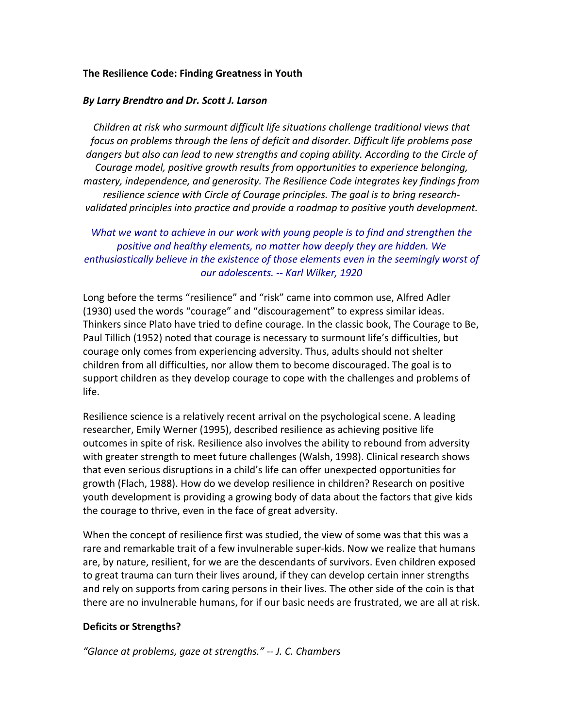## **The Resilience Code: Finding Greatness in Youth**

#### **By Larry Brendtro and Dr. Scott J. Larson**

*Children)at)risk)who)surmount)difficult)life)situations)challenge)traditional)views)that)* focus on problems through the lens of deficit and disorder. Difficult life problems pose dangers but also can lead to new strengths and coping ability. According to the Circle of *Courage)model,)positive)growth)results)from)opportunities)to)experience)belonging,) mastery, independence, and generosity. The Resilience Code integrates key findings from* resilience science with Circle of Courage principles. The goal is to bring research*validated)principles)into)practice)and)provide)a)roadmap)to)positive)youth)development.*

# *What we want to achieve in our work with young people is to find and strengthen the positive)and)healthy)elements,)no)matter)how)deeply)they)are)hidden.)We)* enthusiastically believe in the existence of those elements even in the seemingly worst of *our)adolescents.)@@ Karl)Wilker,)1920*

Long before the terms "resilience" and "risk" came into common use, Alfred Adler (1930) used the words "courage" and "discouragement" to express similar ideas. Thinkers since Plato have tried to define courage. In the classic book, The Courage to Be, Paul Tillich (1952) noted that courage is necessary to surmount life's difficulties, but courage only comes from experiencing adversity. Thus, adults should not shelter children from all difficulties, nor allow them to become discouraged. The goal is to support children as they develop courage to cope with the challenges and problems of life.

Resilience science is a relatively recent arrival on the psychological scene. A leading researcher, Emily Werner (1995), described resilience as achieving positive life outcomes in spite of risk. Resilience also involves the ability to rebound from adversity with greater strength to meet future challenges (Walsh, 1998). Clinical research shows that even serious disruptions in a child's life can offer unexpected opportunities for growth (Flach, 1988). How do we develop resilience in children? Research on positive youth development is providing a growing body of data about the factors that give kids the courage to thrive, even in the face of great adversity.

When the concept of resilience first was studied, the view of some was that this was a rare and remarkable trait of a few invulnerable super-kids. Now we realize that humans are, by nature, resilient, for we are the descendants of survivors. Even children exposed to great trauma can turn their lives around, if they can develop certain inner strengths and rely on supports from caring persons in their lives. The other side of the coin is that there are no invulnerable humans, for if our basic needs are frustrated, we are all at risk.

## **Deficits or Strengths?**

*"Glance)at)problems,)gaze)at)strengths.")@@ J.)C.)Chambers*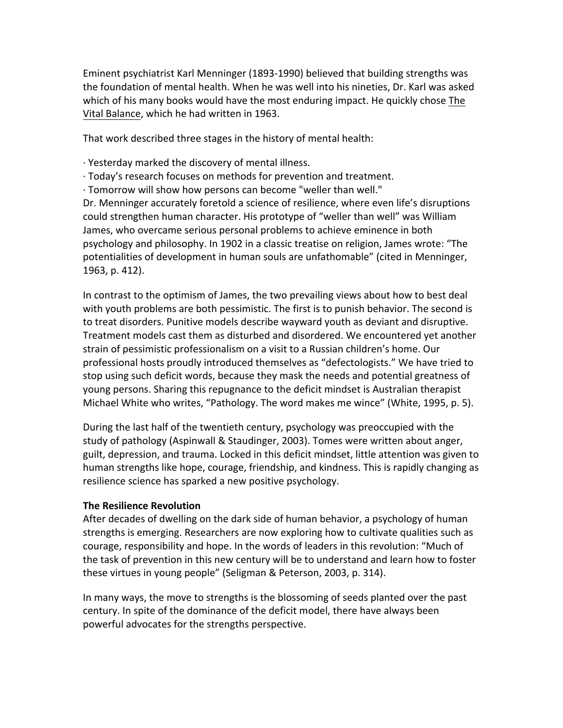Eminent psychiatrist Karl Menninger (1893-1990) believed that building strengths was the foundation of mental health. When he was well into his nineties, Dr. Karl was asked which of his many books would have the most enduring impact. He quickly chose The Vital Balance, which he had written in 1963.

That work described three stages in the history of mental health:

 $\cdot$  Yesterday marked the discovery of mental illness.

 $\cdot$  Today's research focuses on methods for prevention and treatment.

 $\cdot$  Tomorrow will show how persons can become "weller than well."

Dr. Menninger accurately foretold a science of resilience, where even life's disruptions could strengthen human character. His prototype of "weller than well" was William James, who overcame serious personal problems to achieve eminence in both psychology and philosophy. In 1902 in a classic treatise on religion, James wrote: "The potentialities of development in human souls are unfathomable" (cited in Menninger, 1963, p. 412).

In contrast to the optimism of James, the two prevailing views about how to best deal with youth problems are both pessimistic. The first is to punish behavior. The second is to treat disorders. Punitive models describe wayward youth as deviant and disruptive. Treatment models cast them as disturbed and disordered. We encountered yet another strain of pessimistic professionalism on a visit to a Russian children's home. Our professional hosts proudly introduced themselves as "defectologists." We have tried to stop using such deficit words, because they mask the needs and potential greatness of young persons. Sharing this repugnance to the deficit mindset is Australian therapist Michael White who writes, "Pathology. The word makes me wince" (White, 1995, p. 5).

During the last half of the twentieth century, psychology was preoccupied with the study of pathology (Aspinwall & Staudinger, 2003). Tomes were written about anger, guilt, depression, and trauma. Locked in this deficit mindset, little attention was given to human strengths like hope, courage, friendship, and kindness. This is rapidly changing as resilience science has sparked a new positive psychology.

## **The Resilience Revolution**

After decades of dwelling on the dark side of human behavior, a psychology of human strengths is emerging. Researchers are now exploring how to cultivate qualities such as courage, responsibility and hope. In the words of leaders in this revolution: "Much of the task of prevention in this new century will be to understand and learn how to foster these virtues in young people" (Seligman & Peterson, 2003, p. 314).

In many ways, the move to strengths is the blossoming of seeds planted over the past century. In spite of the dominance of the deficit model, there have always been powerful advocates for the strengths perspective.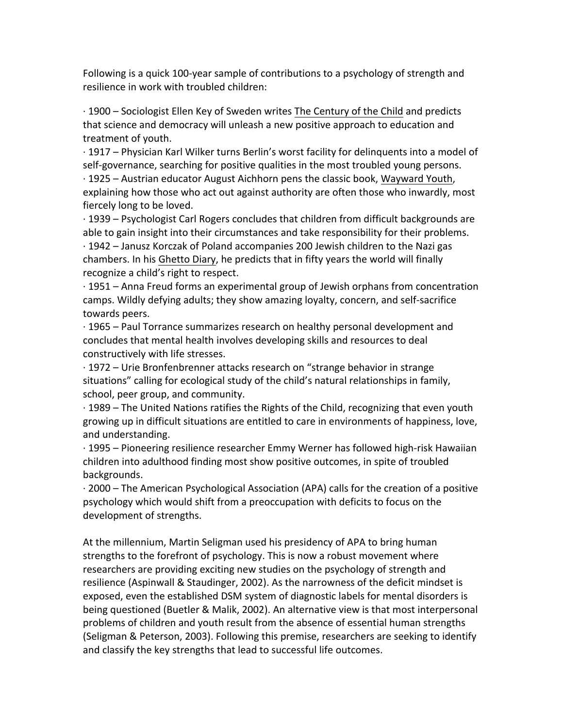Following is a quick 100-year sample of contributions to a psychology of strength and resilience in work with troubled children:

 $\cdot$  1900 – Sociologist Ellen Key of Sweden writes The Century of the Child and predicts that science and democracy will unleash a new positive approach to education and treatment of youth.

 $\cdot$  1917 – Physician Karl Wilker turns Berlin's worst facility for delinquents into a model of self-governance, searching for positive qualities in the most troubled young persons.  $\cdot$  1925 – Austrian educator August Aichhorn pens the classic book, Wayward Youth, explaining how those who act out against authority are often those who inwardly, most fiercely long to be loved.

 $\cdot$  1939 – Psychologist Carl Rogers concludes that children from difficult backgrounds are able to gain insight into their circumstances and take responsibility for their problems.

 $\cdot$  1942 – Janusz Korczak of Poland accompanies 200 Jewish children to the Nazi gas chambers. In his Ghetto Diary, he predicts that in fifty years the world will finally recognize a child's right to respect.

 $\cdot$  1951 – Anna Freud forms an experimental group of Jewish orphans from concentration camps. Wildly defying adults; they show amazing loyalty, concern, and self-sacrifice towards peers.

 $\cdot$  1965 – Paul Torrance summarizes research on healthy personal development and concludes that mental health involves developing skills and resources to deal constructively with life stresses.

 $\cdot$  1972 – Urie Bronfenbrenner attacks research on "strange behavior in strange situations" calling for ecological study of the child's natural relationships in family, school, peer group, and community.

 $\cdot$  1989 – The United Nations ratifies the Rights of the Child, recognizing that even youth growing up in difficult situations are entitled to care in environments of happiness, love, and understanding.

 $\cdot$  1995 – Pioneering resilience researcher Emmy Werner has followed high-risk Hawaiian children into adulthood finding most show positive outcomes, in spite of troubled backgrounds.

 $\cdot$  2000 – The American Psychological Association (APA) calls for the creation of a positive psychology which would shift from a preoccupation with deficits to focus on the development of strengths.

At the millennium, Martin Seligman used his presidency of APA to bring human strengths to the forefront of psychology. This is now a robust movement where researchers are providing exciting new studies on the psychology of strength and resilience (Aspinwall & Staudinger, 2002). As the narrowness of the deficit mindset is exposed, even the established DSM system of diagnostic labels for mental disorders is being questioned (Buetler & Malik, 2002). An alternative view is that most interpersonal problems of children and youth result from the absence of essential human strengths (Seligman & Peterson, 2003). Following this premise, researchers are seeking to identify and classify the key strengths that lead to successful life outcomes.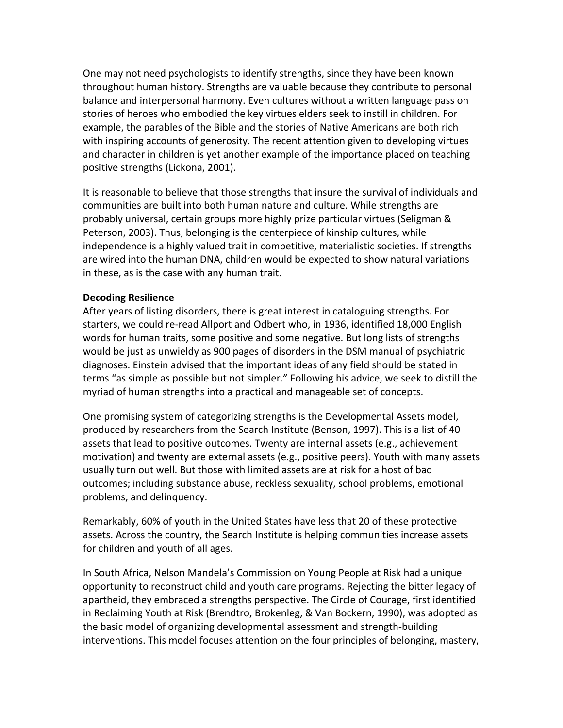One may not need psychologists to identify strengths, since they have been known throughout human history. Strengths are valuable because they contribute to personal balance and interpersonal harmony. Even cultures without a written language pass on stories of heroes who embodied the key virtues elders seek to instill in children. For example, the parables of the Bible and the stories of Native Americans are both rich with inspiring accounts of generosity. The recent attention given to developing virtues and character in children is yet another example of the importance placed on teaching positive strengths (Lickona, 2001).

It is reasonable to believe that those strengths that insure the survival of individuals and communities are built into both human nature and culture. While strengths are probably universal, certain groups more highly prize particular virtues (Seligman & Peterson, 2003). Thus, belonging is the centerpiece of kinship cultures, while independence is a highly valued trait in competitive, materialistic societies. If strengths are wired into the human DNA, children would be expected to show natural variations in these, as is the case with any human trait.

#### **Decoding Resilience**

After years of listing disorders, there is great interest in cataloguing strengths. For starters, we could re-read Allport and Odbert who, in 1936, identified 18,000 English words for human traits, some positive and some negative. But long lists of strengths would be just as unwieldy as 900 pages of disorders in the DSM manual of psychiatric diagnoses. Einstein advised that the important ideas of any field should be stated in terms "as simple as possible but not simpler." Following his advice, we seek to distill the myriad of human strengths into a practical and manageable set of concepts.

One promising system of categorizing strengths is the Developmental Assets model, produced by researchers from the Search Institute (Benson, 1997). This is a list of 40 assets that lead to positive outcomes. Twenty are internal assets (e.g., achievement motivation) and twenty are external assets (e.g., positive peers). Youth with many assets usually turn out well. But those with limited assets are at risk for a host of bad outcomes; including substance abuse, reckless sexuality, school problems, emotional problems, and delinquency.

Remarkably, 60% of youth in the United States have less that 20 of these protective assets. Across the country, the Search Institute is helping communities increase assets for children and youth of all ages.

In South Africa, Nelson Mandela's Commission on Young People at Risk had a unique opportunity to reconstruct child and youth care programs. Rejecting the bitter legacy of apartheid, they embraced a strengths perspective. The Circle of Courage, first identified in Reclaiming Youth at Risk (Brendtro, Brokenleg, & Van Bockern, 1990), was adopted as the basic model of organizing developmental assessment and strength-building interventions. This model focuses attention on the four principles of belonging, mastery,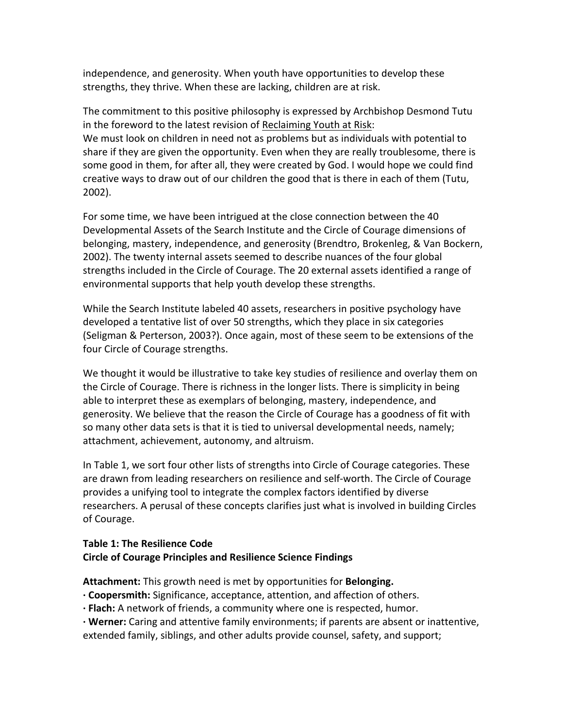independence, and generosity. When youth have opportunities to develop these strengths, they thrive. When these are lacking, children are at risk.

The commitment to this positive philosophy is expressed by Archbishop Desmond Tutu in the foreword to the latest revision of Reclaiming Youth at Risk: We must look on children in need not as problems but as individuals with potential to share if they are given the opportunity. Even when they are really troublesome, there is some good in them, for after all, they were created by God. I would hope we could find creative ways to draw out of our children the good that is there in each of them (Tutu, 2002).

For some time, we have been intrigued at the close connection between the 40 Developmental Assets of the Search Institute and the Circle of Courage dimensions of belonging, mastery, independence, and generosity (Brendtro, Brokenleg, & Van Bockern, 2002). The twenty internal assets seemed to describe nuances of the four global strengths included in the Circle of Courage. The 20 external assets identified a range of environmental supports that help youth develop these strengths.

While the Search Institute labeled 40 assets, researchers in positive psychology have developed a tentative list of over 50 strengths, which they place in six categories (Seligman & Perterson, 2003?). Once again, most of these seem to be extensions of the four Circle of Courage strengths.

We thought it would be illustrative to take key studies of resilience and overlay them on the Circle of Courage. There is richness in the longer lists. There is simplicity in being able to interpret these as exemplars of belonging, mastery, independence, and generosity. We believe that the reason the Circle of Courage has a goodness of fit with so many other data sets is that it is tied to universal developmental needs, namely; attachment, achievement, autonomy, and altruism.

In Table 1, we sort four other lists of strengths into Circle of Courage categories. These are drawn from leading researchers on resilience and self-worth. The Circle of Courage provides a unifying tool to integrate the complex factors identified by diverse researchers. A perusal of these concepts clarifies just what is involved in building Circles of Courage.

## **Table 1: The Resilience Code Circle of Courage Principles and Resilience Science Findings**

**Attachment:** This growth need is met by opportunities for **Belonging.** 

- **Coopersmith:** Significance, acceptance, attention, and affection of others.
- **Priach:** A network of friends, a community where one is respected, humor.
- **· Werner:** Caring and attentive family environments; if parents are absent or inattentive,

extended family, siblings, and other adults provide counsel, safety, and support;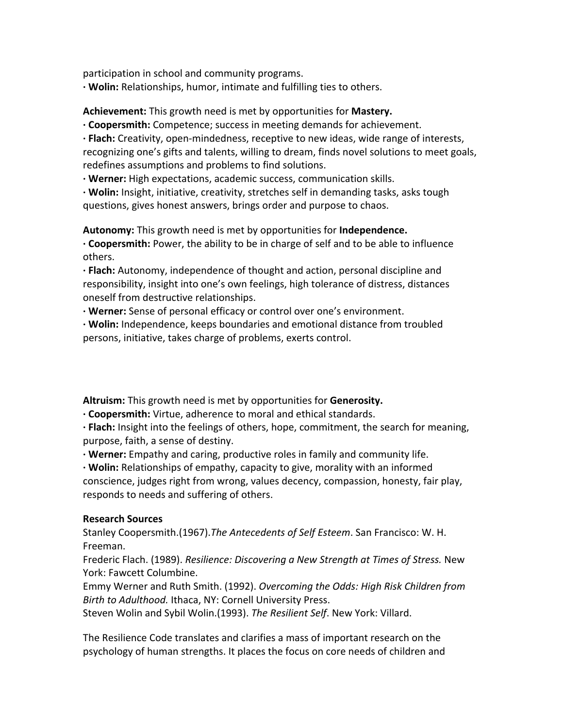participation in school and community programs.

**Wolin:** Relationships, humor, intimate and fulfilling ties to others.

**Achievement:** This growth need is met by opportunities for **Mastery.** 

**Coopersmith:** Competence; success in meeting demands for achievement.

**· Flach:** Creativity, open-mindedness, receptive to new ideas, wide range of interests, recognizing one's gifts and talents, willing to dream, finds novel solutions to meet goals, redefines assumptions and problems to find solutions.

**· Werner:** High expectations, academic success, communication skills.

**· Wolin:** Insight, initiative, creativity, stretches self in demanding tasks, asks tough questions, gives honest answers, brings order and purpose to chaos.

**Autonomy:** This growth need is met by opportunities for **Independence.** 

**Coopersmith:** Power, the ability to be in charge of self and to be able to influence others.

**· Flach:** Autonomy, independence of thought and action, personal discipline and responsibility, insight into one's own feelings, high tolerance of distress, distances oneself from destructive relationships.

**Werner:** Sense of personal efficacy or control over one's environment.

**Wolin:** Independence, keeps boundaries and emotional distance from troubled persons, initiative, takes charge of problems, exerts control.

Altruism: This growth need is met by opportunities for **Generosity.** 

**Coopersmith:** Virtue, adherence to moral and ethical standards.

**Prich:** Insight into the feelings of others, hope, commitment, the search for meaning, purpose, faith, a sense of destiny.

**· Werner:** Empathy and caring, productive roles in family and community life.

**Wolin:** Relationships of empathy, capacity to give, morality with an informed conscience, judges right from wrong, values decency, compassion, honesty, fair play, responds to needs and suffering of others.

## **Research\$Sources**

Stanley Coopersmith.(1967).*The Antecedents of Self Esteem*. San Francisco: W. H. Freeman.

Frederic Flach. (1989). *Resilience: Discovering a New Strength at Times of Stress.* New York: Fawcett Columbine.

Emmy Werner and Ruth Smith. (1992). *Overcoming the Odds: High Risk Children from Birth to Adulthood.* Ithaca, NY: Cornell University Press.

Steven Wolin and Sybil Wolin.(1993). The Resilient Self. New York: Villard.

The Resilience Code translates and clarifies a mass of important research on the psychology of human strengths. It places the focus on core needs of children and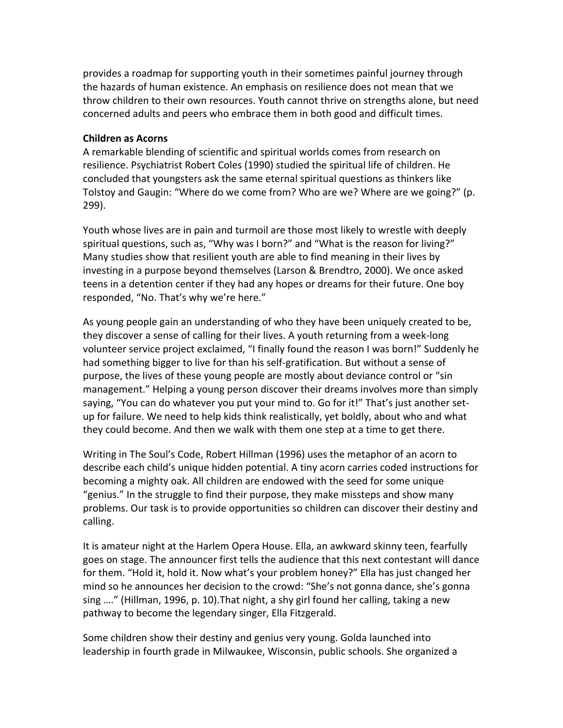provides a roadmap for supporting youth in their sometimes painful journey through the hazards of human existence. An emphasis on resilience does not mean that we throw children to their own resources. Youth cannot thrive on strengths alone, but need concerned adults and peers who embrace them in both good and difficult times.

#### **Children as Acorns**

A remarkable blending of scientific and spiritual worlds comes from research on resilience. Psychiatrist Robert Coles (1990) studied the spiritual life of children. He concluded that youngsters ask the same eternal spiritual questions as thinkers like Tolstoy and Gaugin: "Where do we come from? Who are we? Where are we going?" (p. 299).

Youth whose lives are in pain and turmoil are those most likely to wrestle with deeply spiritual questions, such as, "Why was I born?" and "What is the reason for living?" Many studies show that resilient youth are able to find meaning in their lives by investing in a purpose beyond themselves (Larson & Brendtro, 2000). We once asked teens in a detention center if they had any hopes or dreams for their future. One boy responded, "No. That's why we're here."

As young people gain an understanding of who they have been uniquely created to be, they discover a sense of calling for their lives. A youth returning from a week-long volunteer service project exclaimed, "I finally found the reason I was born!" Suddenly he had something bigger to live for than his self-gratification. But without a sense of purpose, the lives of these young people are mostly about deviance control or "sin management." Helping a young person discover their dreams involves more than simply saying, "You can do whatever you put your mind to. Go for it!" That's just another setup for failure. We need to help kids think realistically, yet boldly, about who and what they could become. And then we walk with them one step at a time to get there.

Writing in The Soul's Code, Robert Hillman (1996) uses the metaphor of an acorn to describe each child's unique hidden potential. A tiny acorn carries coded instructions for becoming a mighty oak. All children are endowed with the seed for some unique "genius." In the struggle to find their purpose, they make missteps and show many problems. Our task is to provide opportunities so children can discover their destiny and calling.

It is amateur night at the Harlem Opera House. Ella, an awkward skinny teen, fearfully goes on stage. The announcer first tells the audience that this next contestant will dance for them. "Hold it, hold it. Now what's your problem honey?" Ella has just changed her mind so he announces her decision to the crowd: "She's not gonna dance, she's gonna sing …." (Hillman, 1996, p. 10).That night, a shy girl found her calling, taking a new pathway to become the legendary singer, Ella Fitzgerald.

Some children show their destiny and genius very young. Golda launched into leadership in fourth grade in Milwaukee, Wisconsin, public schools. She organized a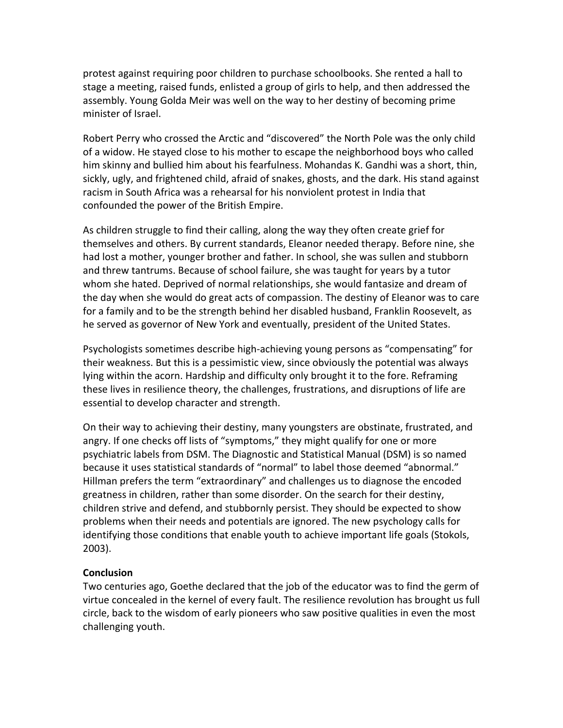protest against requiring poor children to purchase schoolbooks. She rented a hall to stage a meeting, raised funds, enlisted a group of girls to help, and then addressed the assembly. Young Golda Meir was well on the way to her destiny of becoming prime minister of Israel.

Robert Perry who crossed the Arctic and "discovered" the North Pole was the only child of a widow. He stayed close to his mother to escape the neighborhood boys who called him skinny and bullied him about his fearfulness. Mohandas K. Gandhi was a short, thin, sickly, ugly, and frightened child, afraid of snakes, ghosts, and the dark. His stand against racism in South Africa was a rehearsal for his nonviolent protest in India that confounded the power of the British Empire.

As children struggle to find their calling, along the way they often create grief for themselves and others. By current standards, Eleanor needed therapy. Before nine, she had lost a mother, younger brother and father. In school, she was sullen and stubborn and threw tantrums. Because of school failure, she was taught for years by a tutor whom she hated. Deprived of normal relationships, she would fantasize and dream of the day when she would do great acts of compassion. The destiny of Eleanor was to care for a family and to be the strength behind her disabled husband, Franklin Roosevelt, as he served as governor of New York and eventually, president of the United States.

Psychologists sometimes describe high-achieving young persons as "compensating" for their weakness. But this is a pessimistic view, since obviously the potential was always lying within the acorn. Hardship and difficulty only brought it to the fore. Reframing these lives in resilience theory, the challenges, frustrations, and disruptions of life are essential to develop character and strength.

On their way to achieving their destiny, many youngsters are obstinate, frustrated, and angry. If one checks off lists of "symptoms," they might qualify for one or more psychiatric labels from DSM. The Diagnostic and Statistical Manual (DSM) is so named because it uses statistical standards of "normal" to label those deemed "abnormal." Hillman prefers the term "extraordinary" and challenges us to diagnose the encoded greatness in children, rather than some disorder. On the search for their destiny, children strive and defend, and stubbornly persist. They should be expected to show problems when their needs and potentials are ignored. The new psychology calls for identifying those conditions that enable youth to achieve important life goals (Stokols, 2003).

## **Conclusion**

Two centuries ago, Goethe declared that the job of the educator was to find the germ of virtue concealed in the kernel of every fault. The resilience revolution has brought us full circle, back to the wisdom of early pioneers who saw positive qualities in even the most challenging youth.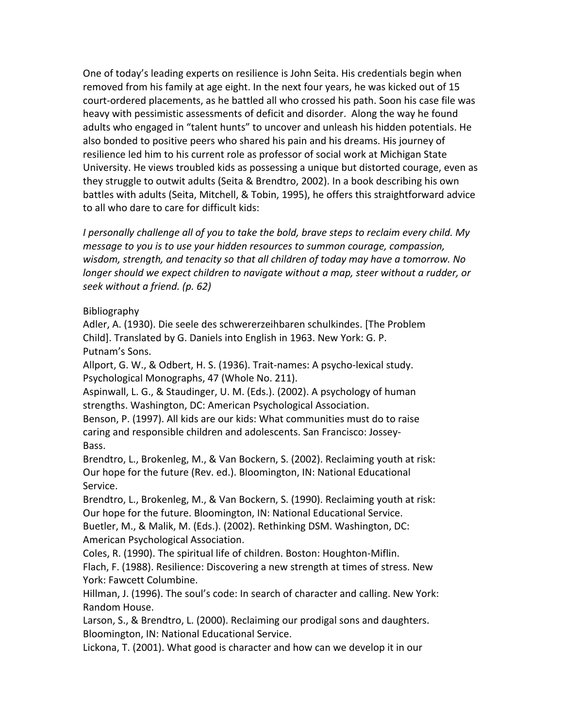One of today's leading experts on resilience is John Seita. His credentials begin when removed from his family at age eight. In the next four years, he was kicked out of 15 court-ordered placements, as he battled all who crossed his path. Soon his case file was heavy with pessimistic assessments of deficit and disorder. Along the way he found adults who engaged in "talent hunts" to uncover and unleash his hidden potentials. He also bonded to positive peers who shared his pain and his dreams. His journey of resilience led him to his current role as professor of social work at Michigan State University. He views troubled kids as possessing a unique but distorted courage, even as they struggle to outwit adults (Seita & Brendtro, 2002). In a book describing his own battles with adults (Seita, Mitchell, & Tobin, 1995), he offers this straightforward advice to all who dare to care for difficult kids:

*I*) personally challenge all of you to take the bold, brave steps to reclaim every child. My *message)to)you)is)to)use)your)hidden)resources)to)summon)courage,)compassion,) wisdom, strength, and tenacity so that all children of today may have a tomorrow. No* longer should we expect children to navigate without a map, steer without a rudder, or *seek)without)a)friend.)(p.)62)*

# Bibliography

Adler, A. (1930). Die seele des schwererzeihbaren schulkindes. [The Problem Child]. Translated by G. Daniels into English in 1963. New York: G. P. Putnam's Sons.

Allport, G. W., & Odbert, H. S. (1936). Trait-names: A psycho-lexical study. Psychological Monographs, 47 (Whole No. 211).

Aspinwall, L. G., & Staudinger, U. M. (Eds.). (2002). A psychology of human strengths. Washington, DC: American Psychological Association.

Benson, P. (1997). All kids are our kids: What communities must do to raise caring and responsible children and adolescents. San Francisco: Jossey-Bass.

Brendtro, L., Brokenleg, M., & Van Bockern, S. (2002). Reclaiming youth at risk: Our hope for the future (Rev. ed.). Bloomington, IN: National Educational Service.

Brendtro, L., Brokenleg, M., & Van Bockern, S. (1990). Reclaiming youth at risk: Our hope for the future. Bloomington, IN: National Educational Service.

Buetler, M., & Malik, M. (Eds.). (2002). Rethinking DSM. Washington, DC: American Psychological Association.

Coles, R. (1990). The spiritual life of children. Boston: Houghton-Miflin.

Flach, F. (1988). Resilience: Discovering a new strength at times of stress. New York: Fawcett Columbine.

Hillman, J. (1996). The soul's code: In search of character and calling. New York: Random House.

Larson, S., & Brendtro, L. (2000). Reclaiming our prodigal sons and daughters. Bloomington, IN: National Educational Service.

Lickona, T. (2001). What good is character and how can we develop it in our